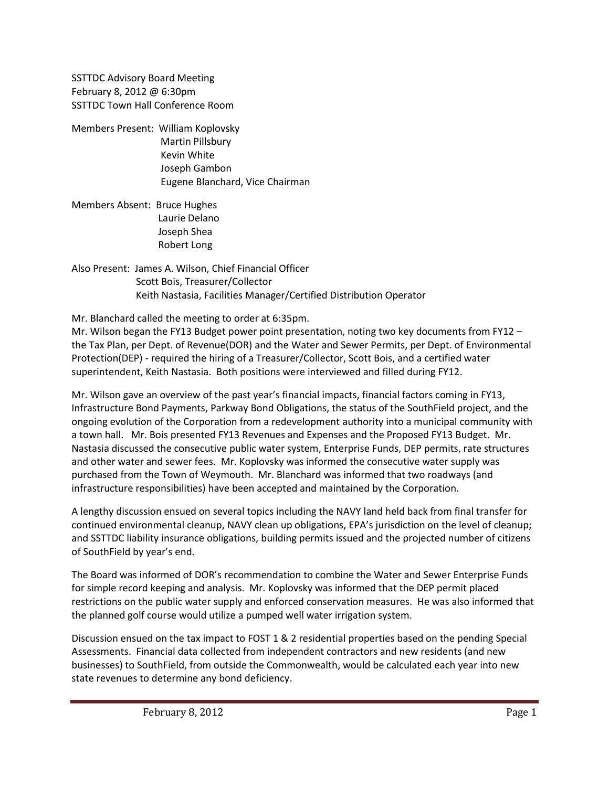SSTTDC Advisory Board Meeting February 8, 2012 @ 6:30pm SSTTDC Town Hall Conference Room

Members Present: William Koplovsky Martin Pillsbury Kevin White Joseph Gambon Eugene Blanchard, Vice Chairman

Members Absent: Bruce Hughes Laurie Delano Joseph Shea Robert Long

Also Present: James A. Wilson, Chief Financial Officer Scott Bois, Treasurer/Collector Keith Nastasia, Facilities Manager/Certified Distribution Operator

Mr. Blanchard called the meeting to order at 6:35pm.

Mr. Wilson began the FY13 Budget power point presentation, noting two key documents from FY12 – the Tax Plan, per Dept. of Revenue(DOR) and the Water and Sewer Permits, per Dept. of Environmental Protection(DEP) - required the hiring of a Treasurer/Collector, Scott Bois, and a certified water superintendent, Keith Nastasia. Both positions were interviewed and filled during FY12.

Mr. Wilson gave an overview of the past year's financial impacts, financial factors coming in FY13, Infrastructure Bond Payments, Parkway Bond Obligations, the status of the SouthField project, and the ongoing evolution of the Corporation from a redevelopment authority into a municipal community with a town hall. Mr. Bois presented FY13 Revenues and Expenses and the Proposed FY13 Budget. Mr. Nastasia discussed the consecutive public water system, Enterprise Funds, DEP permits, rate structures and other water and sewer fees. Mr. Koplovsky was informed the consecutive water supply was purchased from the Town of Weymouth. Mr. Blanchard was informed that two roadways (and infrastructure responsibilities) have been accepted and maintained by the Corporation.

A lengthy discussion ensued on several topics including the NAVY land held back from final transfer for continued environmental cleanup, NAVY clean up obligations, EPA's jurisdiction on the level of cleanup; and SSTTDC liability insurance obligations, building permits issued and the projected number of citizens of SouthField by year's end.

The Board was informed of DOR's recommendation to combine the Water and Sewer Enterprise Funds for simple record keeping and analysis. Mr. Koplovsky was informed that the DEP permit placed restrictions on the public water supply and enforced conservation measures. He was also informed that the planned golf course would utilize a pumped well water irrigation system.

Discussion ensued on the tax impact to FOST 1 & 2 residential properties based on the pending Special Assessments. Financial data collected from independent contractors and new residents (and new businesses) to SouthField, from outside the Commonwealth, would be calculated each year into new state revenues to determine any bond deficiency.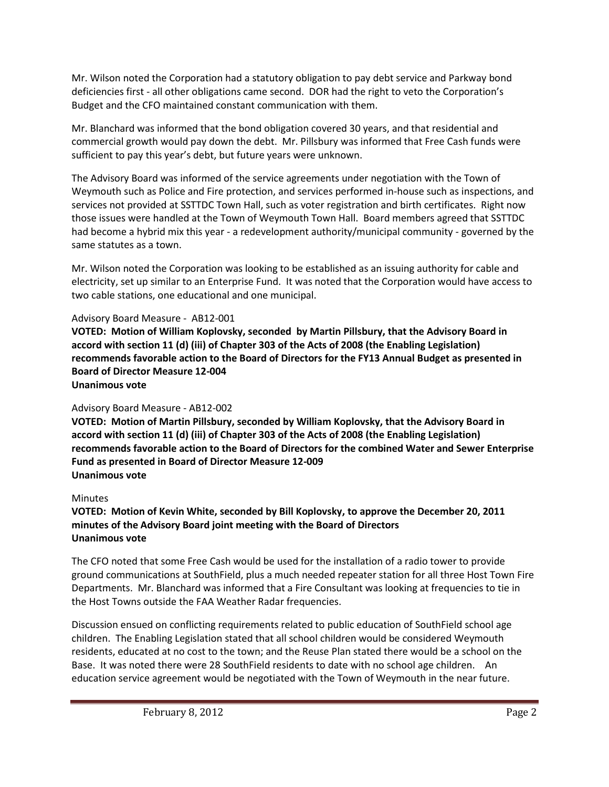Mr. Wilson noted the Corporation had a statutory obligation to pay debt service and Parkway bond deficiencies first - all other obligations came second. DOR had the right to veto the Corporation's Budget and the CFO maintained constant communication with them.

Mr. Blanchard was informed that the bond obligation covered 30 years, and that residential and commercial growth would pay down the debt. Mr. Pillsbury was informed that Free Cash funds were sufficient to pay this year's debt, but future years were unknown.

The Advisory Board was informed of the service agreements under negotiation with the Town of Weymouth such as Police and Fire protection, and services performed in-house such as inspections, and services not provided at SSTTDC Town Hall, such as voter registration and birth certificates. Right now those issues were handled at the Town of Weymouth Town Hall. Board members agreed that SSTTDC had become a hybrid mix this year - a redevelopment authority/municipal community - governed by the same statutes as a town.

Mr. Wilson noted the Corporation was looking to be established as an issuing authority for cable and electricity, set up similar to an Enterprise Fund. It was noted that the Corporation would have access to two cable stations, one educational and one municipal.

## Advisory Board Measure - AB12-001

**VOTED: Motion of William Koplovsky, seconded by Martin Pillsbury, that the Advisory Board in accord with section 11 (d) (iii) of Chapter 303 of the Acts of 2008 (the Enabling Legislation) recommends favorable action to the Board of Directors for the FY13 Annual Budget as presented in Board of Director Measure 12-004 Unanimous vote**

## Advisory Board Measure - AB12-002

**VOTED: Motion of Martin Pillsbury, seconded by William Koplovsky, that the Advisory Board in accord with section 11 (d) (iii) of Chapter 303 of the Acts of 2008 (the Enabling Legislation) recommends favorable action to the Board of Directors for the combined Water and Sewer Enterprise Fund as presented in Board of Director Measure 12-009 Unanimous vote**

## Minutes

**VOTED: Motion of Kevin White, seconded by Bill Koplovsky, to approve the December 20, 2011 minutes of the Advisory Board joint meeting with the Board of Directors Unanimous vote**

The CFO noted that some Free Cash would be used for the installation of a radio tower to provide ground communications at SouthField, plus a much needed repeater station for all three Host Town Fire Departments. Mr. Blanchard was informed that a Fire Consultant was looking at frequencies to tie in the Host Towns outside the FAA Weather Radar frequencies.

Discussion ensued on conflicting requirements related to public education of SouthField school age children. The Enabling Legislation stated that all school children would be considered Weymouth residents, educated at no cost to the town; and the Reuse Plan stated there would be a school on the Base. It was noted there were 28 SouthField residents to date with no school age children. An education service agreement would be negotiated with the Town of Weymouth in the near future.